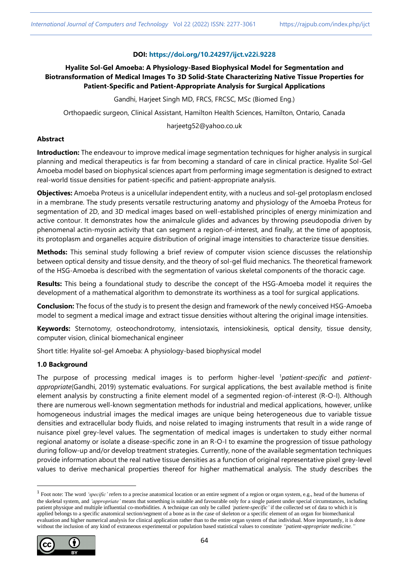#### **DOI: <https://doi.org/10.24297/ijct.v22i.9228>**

## **Hyalite Sol-Gel Amoeba: A Physiology-Based Biophysical Model for Segmentation and Biotransformation of Medical Images To 3D Solid-State Characterizing Native Tissue Properties for Patient-Specific and Patient-Appropriate Analysis for Surgical Applications**

Gandhi, Harjeet Singh MD, FRCS, FRCSC, MSc (Biomed Eng.)

Orthopaedic surgeon, Clinical Assistant, Hamilton Health Sciences, Hamilton, Ontario, Canada

harjeetg52@yahoo.co.uk

## **Abstract**

**Introduction:** The endeavour to improve medical image segmentation techniques for higher analysis in surgical planning and medical therapeutics is far from becoming a standard of care in clinical practice. Hyalite Sol-Gel Amoeba model based on biophysical sciences apart from performing image segmentation is designed to extract real-world tissue densities for patient-specific and patient-appropriate analysis.

**Objectives:** Amoeba Proteus is a unicellular independent entity, with a nucleus and sol-gel protoplasm enclosed in a membrane. The study presents versatile restructuring anatomy and physiology of the Amoeba Proteus for segmentation of 2D, and 3D medical images based on well-established principles of energy minimization and active contour. It demonstrates how the animalcule glides and advances by throwing pseudopodia driven by phenomenal actin-myosin activity that can segment a region-of-interest, and finally, at the time of apoptosis, its protoplasm and organelles acquire distribution of original image intensities to characterize tissue densities.

**Methods:** This seminal study following a brief review of computer vision science discusses the relationship between optical density and tissue density, and the theory of sol-gel fluid mechanics. The theoretical framework of the HSG-Amoeba is described with the segmentation of various skeletal components of the thoracic cage.

**Results:** This being a foundational study to describe the concept of the HSG-Amoeba model it requires the development of a mathematical algorithm to demonstrate its worthiness as a tool for surgical applications.

**Conclusion:** The focus of the study is to present the design and framework of the newly conceived HSG-Amoeba model to segment a medical image and extract tissue densities without altering the original image intensities.

**Keywords:** Sternotomy, osteochondrotomy, intensiotaxis, intensiokinesis, optical density, tissue density, computer vision, clinical biomechanical engineer

Short title: Hyalite sol-gel Amoeba: A physiology-based biophysical model

## **1.0 Background**

The purpose of processing medical images is to perform higher-level <sup>1</sup>*patient-specific* and *patientappropriate*(Gandhi, 2019) systematic evaluations. For surgical applications, the best available method is finite element analysis by constructing a finite element model of a segmented region-of-interest (R-O-I). Although there are numerous well-known segmentation methods for industrial and medical applications, however, unlike homogeneous industrial images the medical images are unique being heterogeneous due to variable tissue densities and extracellular body fluids, and noise related to imaging instruments that result in a wide range of nuisance pixel grey-level values. The segmentation of medical images is undertaken to study either normal regional anatomy or isolate a disease-specific zone in an R-O-I to examine the progression of tissue pathology during follow-up and/or develop treatment strategies. Currently, none of the available segmentation techniques provide information about the real native tissue densities as a function of original representative pixel grey-level values to derive mechanical properties thereof for higher mathematical analysis. The study describes the

<sup>&</sup>lt;sup>1</sup> Foot note: The word *'specific'* refers to a precise anatomical location or an entire segment of a region or organ system, e.g., head of the humerus of the skeletal system, and *'appropriate'* means that something is suitable and favourable only for a single patient under special circumstances, including patient physique and multiple influential co-morbidities. A technique can only be called *'patient-specific'* if the collected set of data to which it is applied belongs to a specific anatomical section/segment of a bone as in the case of skeleton or a specific element of an organ for biomechanical evaluation and higher numerical analysis for clinical application rather than to the entire organ system of that individual. More importantly, it is done without the inclusion of any kind of extraneous experimental or population based statistical values to constitute *"patient-appropriate medicine."*

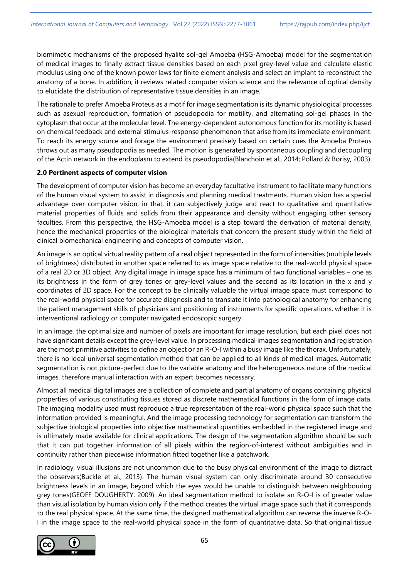biomimetic mechanisms of the proposed hyalite sol-gel Amoeba (HSG-Amoeba) model for the segmentation of medical images to finally extract tissue densities based on each pixel grey-level value and calculate elastic modulus using one of the known power laws for finite element analysis and select an implant to reconstruct the anatomy of a bone. In addition, it reviews related computer vision science and the relevance of optical density to elucidate the distribution of representative tissue densities in an image.

The rationale to prefer Amoeba Proteus as a motif for image segmentation is its dynamic physiological processes such as asexual reproduction, formation of pseudopodia for motility, and alternating sol-gel phases in the cytoplasm that occur at the molecular level. The energy-dependent autonomous function for its motility is based on chemical feedback and external stimulus-response phenomenon that arise from its immediate environment. To reach its energy source and forage the environment precisely based on certain cues the Amoeba Proteus throws out as many pseudopodia as needed. The motion is generated by spontaneous coupling and decoupling of the Actin network in the endoplasm to extend its pseudopodia(Blanchoin et al., 2014; Pollard & Borisy, 2003).

## **2.0 Pertinent aspects of computer vision**

The development of computer vision has become an everyday facultative instrument to facilitate many functions of the human visual system to assist in diagnosis and planning medical treatments. Human vision has a special advantage over computer vision, in that, it can subjectively judge and react to qualitative and quantitative material properties of fluids and solids from their appearance and density without engaging other sensory faculties. From this perspective, the HSG-Amoeba model is a step toward the derivation of material density, hence the mechanical properties of the biological materials that concern the present study within the field of clinical biomechanical engineering and concepts of computer vision.

An image is an optical virtual reality pattern of a real object represented in the form of intensities (multiple levels of brightness) distributed in another space referred to as image space relative to the real-world physical space of a real 2D or 3D object. Any digital image in image space has a minimum of two functional variables – one as its brightness in the form of grey tones or grey-level values and the second as its location in the x and y coordinates of 2D space. For the concept to be clinically valuable the virtual image space must correspond to the real-world physical space for accurate diagnosis and to translate it into pathological anatomy for enhancing the patient management skills of physicians and positioning of instruments for specific operations, whether it is interventional radiology or computer navigated endoscopic surgery.

In an image, the optimal size and number of pixels are important for image resolution, but each pixel does not have significant details except the grey-level value. In processing medical images segmentation and registration are the most primitive activities to define an object or an R-O-I within a busy image like the thorax. Unfortunately, there is no ideal universal segmentation method that can be applied to all kinds of medical images. Automatic segmentation is not picture-perfect due to the variable anatomy and the heterogeneous nature of the medical images, therefore manual interaction with an expert becomes necessary.

Almost all medical digital images are a collection of complete and partial anatomy of organs containing physical properties of various constituting tissues stored as discrete mathematical functions in the form of image data. The imaging modality used must reproduce a true representation of the real-world physical space such that the information provided is meaningful. And the image processing technology for segmentation can transform the subjective biological properties into objective mathematical quantities embedded in the registered image and is ultimately made available for clinical applications. The design of the segmentation algorithm should be such that it can put together information of all pixels within the region-of-interest without ambiguities and in continuity rather than piecewise information fitted together like a patchwork.

In radiology, visual illusions are not uncommon due to the busy physical environment of the image to distract the observers(Buckle et al., 2013). The human visual system can only discriminate around 30 consecutive brightness levels in an image, beyond which the eyes would be unable to distinguish between neighbouring grey tones(GEOFF DOUGHERTY, 2009). An ideal segmentation method to isolate an R-O-I is of greater value than visual isolation by human vision only if the method creates the virtual image space such that it corresponds to the real physical space. At the same time, the designed mathematical algorithm can reverse the inverse R-O-I in the image space to the real-world physical space in the form of quantitative data. So that original tissue

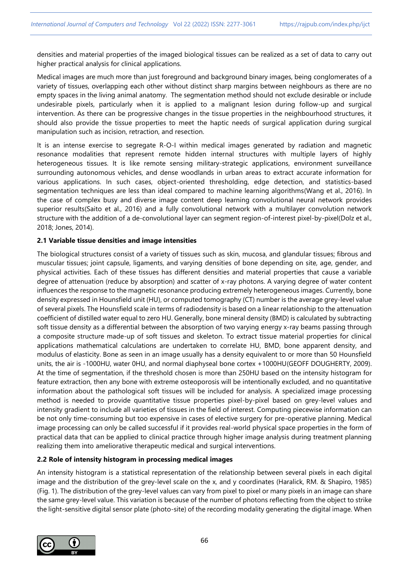densities and material properties of the imaged biological tissues can be realized as a set of data to carry out higher practical analysis for clinical applications.

Medical images are much more than just foreground and background binary images, being conglomerates of a variety of tissues, overlapping each other without distinct sharp margins between neighbours as there are no empty spaces in the living animal anatomy. The segmentation method should not exclude desirable or include undesirable pixels, particularly when it is applied to a malignant lesion during follow-up and surgical intervention. As there can be progressive changes in the tissue properties in the neighbourhood structures, it should also provide the tissue properties to meet the haptic needs of surgical application during surgical manipulation such as incision, retraction, and resection.

It is an intense exercise to segregate R-O-I within medical images generated by radiation and magnetic resonance modalities that represent remote hidden internal structures with multiple layers of highly heterogeneous tissues. It is like remote sensing military-strategic applications, environment surveillance surrounding autonomous vehicles, and dense woodlands in urban areas to extract accurate information for various applications. In such cases, object-oriented thresholding, edge detection, and statistics-based segmentation techniques are less than ideal compared to machine learning algorithms(Wang et al., 2016). In the case of complex busy and diverse image content deep learning convolutional neural network provides superior results(Saito et al., 2016) and a fully convolutional network with a multilayer convolution network structure with the addition of a de-convolutional layer can segment region-of-interest pixel-by-pixel(Dolz et al., 2018; Jones, 2014).

## **2.1 Variable tissue densities and image intensities**

The biological structures consist of a variety of tissues such as skin, mucosa, and glandular tissues; fibrous and muscular tissues; joint capsule, ligaments, and varying densities of bone depending on site, age, gender, and physical activities. Each of these tissues has different densities and material properties that cause a variable degree of attenuation (reduce by absorption) and scatter of x-ray photons. A varying degree of water content influences the response to the magnetic resonance producing extremely heterogeneous images. Currently, bone density expressed in Hounsfield unit (HU), or computed tomography (CT) number is the average grey-level value of several pixels. The Hounsfield scale in terms of radiodensity is based on a linear relationship to the attenuation coefficient of distilled water equal to zero HU. Generally, bone mineral density (BMD) is calculated by subtracting soft tissue density as a differential between the absorption of two varying energy x-ray beams passing through a composite structure made-up of soft tissues and skeleton. To extract tissue material properties for clinical applications mathematical calculations are undertaken to correlate HU, BMD, bone apparent density, and modulus of elasticity. Bone as seen in an image usually has a density equivalent to or more than 50 Hounsfield units, the air is -1000HU, water 0HU, and normal diaphyseal bone cortex +1000HU(GEOFF DOUGHERTY, 2009). At the time of segmentation, if the threshold chosen is more than 250HU based on the intensity histogram for feature extraction, then any bone with extreme osteoporosis will be intentionally excluded, and no quantitative information about the pathological soft tissues will be included for analysis. A specialized image processing method is needed to provide quantitative tissue properties pixel-by-pixel based on grey-level values and intensity gradient to include all varieties of tissues in the field of interest. Computing piecewise information can be not only time-consuming but too expensive in cases of elective surgery for pre-operative planning. Medical image processing can only be called successful if it provides real-world physical space properties in the form of practical data that can be applied to clinical practice through higher image analysis during treatment planning realizing them into ameliorative therapeutic medical and surgical interventions.

## **2.2 Role of intensity histogram in processing medical images**

An intensity histogram is a statistical representation of the relationship between several pixels in each digital image and the distribution of the grey-level scale on the x, and y coordinates (Haralick, RM. & Shapiro, 1985) (Fig. 1). The distribution of the grey-level values can vary from pixel to pixel or many pixels in an image can share the same grey-level value. This variation is because of the number of photons reflecting from the object to strike the light-sensitive digital sensor plate (photo-site) of the recording modality generating the digital image. When

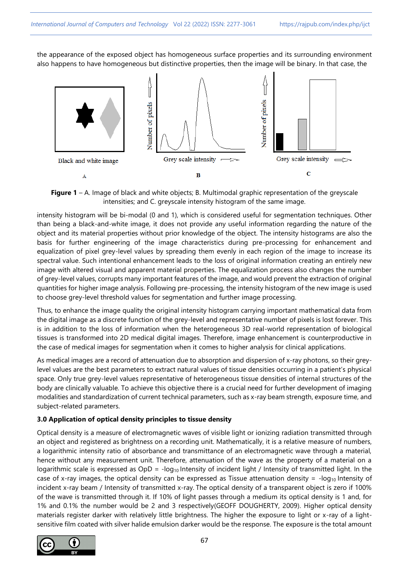the appearance of the exposed object has homogeneous surface properties and its surrounding environment also happens to have homogeneous but distinctive properties, then the image will be binary. In that case, the



**Figure 1** – A. Image of black and white objects; B. Multimodal graphic representation of the greyscale intensities; and C. greyscale intensity histogram of the same image.

intensity histogram will be bi-modal (0 and 1), which is considered useful for segmentation techniques. Other than being a black-and-white image, it does not provide any useful information regarding the nature of the object and its material properties without prior knowledge of the object. The intensity histograms are also the basis for further engineering of the image characteristics during pre-processing for enhancement and equalization of pixel grey-level values by spreading them evenly in each region of the image to increase its spectral value. Such intentional enhancement leads to the loss of original information creating an entirely new image with altered visual and apparent material properties. The equalization process also changes the number of grey-level values, corrupts many important features of the image, and would prevent the extraction of original quantities for higher image analysis. Following pre-processing, the intensity histogram of the new image is used to choose grey-level threshold values for segmentation and further image processing.

Thus, to enhance the image quality the original intensity histogram carrying important mathematical data from the digital image as a discrete function of the grey-level and representative number of pixels is lost forever. This is in addition to the loss of information when the heterogeneous 3D real-world representation of biological tissues is transformed into 2D medical digital images. Therefore, image enhancement is counterproductive in the case of medical images for segmentation when it comes to higher analysis for clinical applications.

As medical images are a record of attenuation due to absorption and dispersion of x-ray photons, so their greylevel values are the best parameters to extract natural values of tissue densities occurring in a patient's physical space. Only true grey-level values representative of heterogeneous tissue densities of internal structures of the body are clinically valuable. To achieve this objective there is a crucial need for further development of imaging modalities and standardization of current technical parameters, such as x-ray beam strength, exposure time, and subject-related parameters.

## **3.0 Application of optical density principles to tissue density**

Optical density is a measure of electromagnetic waves of visible light or ionizing radiation transmitted through an object and registered as brightness on a recording unit. Mathematically, it is a relative measure of numbers, a logarithmic intensity ratio of absorbance and transmittance of an electromagnetic wave through a material, hence without any measurement unit. Therefore, attenuation of the wave as the property of a material on a logarithmic scale is expressed as  $OpD = -log_{10}$  Intensity of incident light / Intensity of transmitted light. In the case of x-ray images, the optical density can be expressed as Tissue attenuation density =  $-log_{10}$  Intensity of incident x-ray beam / Intensity of transmitted x-ray. The optical density of a transparent object is zero if 100% of the wave is transmitted through it. If 10% of light passes through a medium its optical density is 1 and, for 1% and 0.1% the number would be 2 and 3 respectively(GEOFF DOUGHERTY, 2009). Higher optical density materials register darker with relatively little brightness. The higher the exposure to light or x-ray of a lightsensitive film coated with silver halide emulsion darker would be the response. The exposure is the total amount

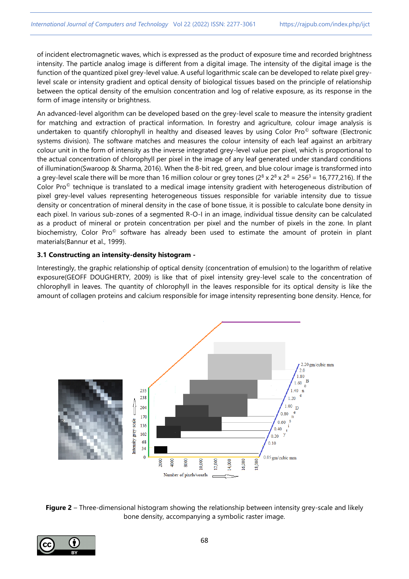of incident electromagnetic waves, which is expressed as the product of exposure time and recorded brightness intensity. The particle analog image is different from a digital image. The intensity of the digital image is the function of the quantized pixel grey-level value. A useful logarithmic scale can be developed to relate pixel greylevel scale or intensity gradient and optical density of biological tissues based on the principle of relationship between the optical density of the emulsion concentration and log of relative exposure, as its response in the form of image intensity or brightness.

An advanced-level algorithm can be developed based on the grey-level scale to measure the intensity gradient for matching and extraction of practical information. In forestry and agriculture, colour image analysis is undertaken to quantify chlorophyll in healthy and diseased leaves by using Color Pro<sup>©</sup> software (Electronic systems division). The software matches and measures the colour intensity of each leaf against an arbitrary colour unit in the form of intensity as the inverse integrated grey-level value per pixel, which is proportional to the actual concentration of chlorophyll per pixel in the image of any leaf generated under standard conditions of illumination(Swaroop & Sharma, 2016). When the 8-bit red, green, and blue colour image is transformed into a grey-level scale there will be more than 16 million colour or grey tones (2<sup>8</sup> x 2<sup>8</sup> x 2<sup>8</sup> = 256<sup>3</sup> = 16,777,216). If the Color Pro© technique is translated to a medical image intensity gradient with heterogeneous distribution of pixel grey-level values representing heterogeneous tissues responsible for variable intensity due to tissue density or concentration of mineral density in the case of bone tissue, it is possible to calculate bone density in each pixel. In various sub-zones of a segmented R-O-I in an image, individual tissue density can be calculated as a product of mineral or protein concentration per pixel and the number of pixels in the zone. In plant biochemistry, Color Pro<sup>®</sup> software has already been used to estimate the amount of protein in plant materials(Bannur et al., 1999).

## **3.1 Constructing an intensity-density histogram -**

Interestingly, the graphic relationship of optical density (concentration of emulsion) to the logarithm of relative exposure(GEOFF DOUGHERTY, 2009) is like that of pixel intensity grey-level scale to the concentration of chlorophyll in leaves. The quantity of chlorophyll in the leaves responsible for its optical density is like the amount of collagen proteins and calcium responsible for image intensity representing bone density. Hence, for



**Figure 2** – Three-dimensional histogram showing the relationship between intensity grey-scale and likely bone density, accompanying a symbolic raster image.

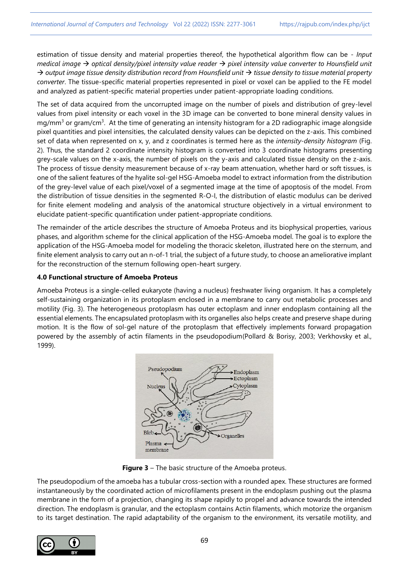estimation of tissue density and material properties thereof, the hypothetical algorithm flow can be - *Input medical image* → *optical density/pixel intensity value reader* → *pixel intensity value converter to Hounsfield unit* → *output image tissue density distribution record from Hounsfield unit* → *tissue density to tissue material property converter*. The tissue-specific material properties represented in pixel or voxel can be applied to the FE model and analyzed as patient-specific material properties under patient-appropriate loading conditions.

The set of data acquired from the uncorrupted image on the number of pixels and distribution of grey-level values from pixel intensity or each voxel in the 3D image can be converted to bone mineral density values in mg/mm<sup>3</sup> or gram/cm<sup>3</sup>. At the time of generating an intensity histogram for a 2D radiographic image alongside pixel quantities and pixel intensities, the calculated density values can be depicted on the z-axis. This combined set of data when represented on x, y, and z coordinates is termed here as the *intensity-density histogram* (Fig. 2). Thus, the standard 2 coordinate intensity histogram is converted into 3 coordinate histograms presenting grey-scale values on the x-axis, the number of pixels on the y-axis and calculated tissue density on the z-axis. The process of tissue density measurement because of x-ray beam attenuation, whether hard or soft tissues, is one of the salient features of the hyalite sol-gel HSG-Amoeba model to extract information from the distribution of the grey-level value of each pixel/voxel of a segmented image at the time of apoptosis of the model. From the distribution of tissue densities in the segmented R-O-I, the distribution of elastic modulus can be derived for finite element modeling and analysis of the anatomical structure objectively in a virtual environment to elucidate patient-specific quantification under patient-appropriate conditions.

The remainder of the article describes the structure of Amoeba Proteus and its biophysical properties, various phases, and algorithm scheme for the clinical application of the HSG-Amoeba model. The goal is to explore the application of the HSG-Amoeba model for modeling the thoracic skeleton, illustrated here on the sternum, and finite element analysis to carry out an n-of-1 trial, the subject of a future study, to choose an ameliorative implant for the reconstruction of the sternum following open-heart surgery.

## **4.0 Functional structure of Amoeba Proteus**

Amoeba Proteus is a single-celled eukaryote (having a nucleus) freshwater living organism. It has a completely self-sustaining organization in its protoplasm enclosed in a membrane to carry out metabolic processes and motility (Fig. 3). The heterogeneous protoplasm has outer ectoplasm and inner endoplasm containing all the essential elements. The encapsulated protoplasm with its organelles also helps create and preserve shape during motion. It is the flow of sol-gel nature of the protoplasm that effectively implements forward propagation powered by the assembly of actin filaments in the pseudopodium(Pollard & Borisy, 2003; Verkhovsky et al., 1999).



**Figure 3** – The basic structure of the Amoeba proteus.

The pseudopodium of the amoeba has a tubular cross-section with a rounded apex. These structures are formed instantaneously by the coordinated action of microfilaments present in the endoplasm pushing out the plasma membrane in the form of a projection, changing its shape rapidly to propel and advance towards the intended direction. The endoplasm is granular, and the ectoplasm contains Actin filaments, which motorize the organism to its target destination. The rapid adaptability of the organism to the environment, its versatile motility, and

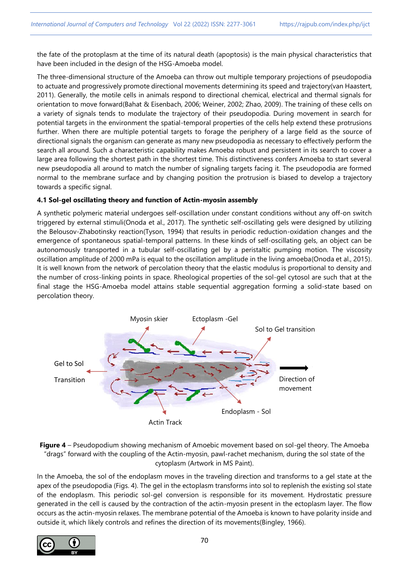the fate of the protoplasm at the time of its natural death (apoptosis) is the main physical characteristics that have been included in the design of the HSG-Amoeba model.

The three-dimensional structure of the Amoeba can throw out multiple temporary projections of pseudopodia to actuate and progressively promote directional movements determining its speed and trajectory(van Haastert, 2011). Generally, the motile cells in animals respond to directional chemical, electrical and thermal signals for orientation to move forward(Bahat & Eisenbach, 2006; Weiner, 2002; Zhao, 2009). The training of these cells on a variety of signals tends to modulate the trajectory of their pseudopodia. During movement in search for potential targets in the environment the spatial-temporal properties of the cells help extend these protrusions further. When there are multiple potential targets to forage the periphery of a large field as the source of directional signals the organism can generate as many new pseudopodia as necessary to effectively perform the search all around. Such a characteristic capability makes Amoeba robust and persistent in its search to cover a large area following the shortest path in the shortest time. This distinctiveness confers Amoeba to start several new pseudopodia all around to match the number of signaling targets facing it. The pseudopodia are formed normal to the membrane surface and by changing position the protrusion is biased to develop a trajectory towards a specific signal.

## **4.1 Sol-gel oscillating theory and function of Actin-myosin assembly**

A synthetic polymeric material undergoes self-oscillation under constant conditions without any off-on switch triggered by external stimuli(Onoda et al., 2017). The synthetic self-oscillating gels were designed by utilizing the Belousov-Zhabotinsky reaction(Tyson, 1994) that results in periodic reduction-oxidation changes and the emergence of spontaneous spatial-temporal patterns. In these kinds of self-oscillating gels, an object can be autonomously transported in a tubular self-oscillating gel by a peristaltic pumping motion. The viscosity oscillation amplitude of 2000 mPa is equal to the oscillation amplitude in the living amoeba(Onoda et al., 2015). It is well known from the network of percolation theory that the elastic modulus is proportional to density and the number of cross-linking points in space. Rheological properties of the sol-gel cytosol are such that at the final stage the HSG-Amoeba model attains stable sequential aggregation forming a solid-state based on percolation theory.





In the Amoeba, the sol of the endoplasm moves in the traveling direction and transforms to a gel state at the apex of the pseudopodia (Figs. 4). The gel in the ectoplasm transforms into sol to replenish the existing sol state of the endoplasm. This periodic sol-gel conversion is responsible for its movement. Hydrostatic pressure generated in the cell is caused by the contraction of the actin-myosin present in the ectoplasm layer. The flow occurs as the actin-myosin relaxes. The membrane potential of the Amoeba is known to have polarity inside and outside it, which likely controls and refines the direction of its movements(Bingley, 1966).

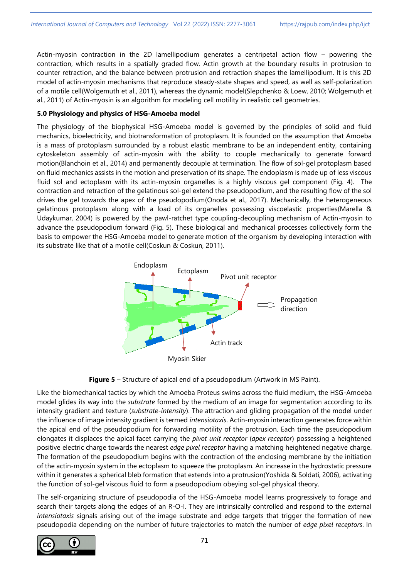Actin-myosin contraction in the 2D lamellipodium generates a centripetal action flow – powering the contraction, which results in a spatially graded flow. Actin growth at the boundary results in protrusion to counter retraction, and the balance between protrusion and retraction shapes the lamellipodium. It is this 2D model of actin-myosin mechanisms that reproduce steady-state shapes and speed, as well as self-polarization of a motile cell(Wolgemuth et al., 2011), whereas the dynamic model(Slepchenko & Loew, 2010; Wolgemuth et al., 2011) of Actin-myosin is an algorithm for modeling cell motility in realistic cell geometries.

#### **5.0 Physiology and physics of HSG-Amoeba model**

The physiology of the biophysical HSG-Amoeba model is governed by the principles of solid and fluid mechanics, bioelectricity, and biotransformation of protoplasm. It is founded on the assumption that Amoeba is a mass of protoplasm surrounded by a robust elastic membrane to be an independent entity, containing cytoskeleton assembly of actin-myosin with the ability to couple mechanically to generate forward motion(Blanchoin et al., 2014) and permanently decouple at termination. The flow of sol-gel protoplasm based on fluid mechanics assists in the motion and preservation of its shape. The endoplasm is made up of less viscous fluid sol and ectoplasm with its actin-myosin organelles is a highly viscous gel component (Fig. 4). The contraction and retraction of the gelatinous sol-gel extend the pseudopodium, and the resulting flow of the sol drives the gel towards the apex of the pseudopodium(Onoda et al., 2017). Mechanically, the heterogeneous gelatinous protoplasm along with a load of its organelles possessing viscoelastic properties(Marella & Udaykumar, 2004) is powered by the pawl-ratchet type coupling-decoupling mechanism of Actin-myosin to advance the pseudopodium forward (Fig. 5). These biological and mechanical processes collectively form the basis to empower the HSG-Amoeba model to generate motion of the organism by developing interaction with its substrate like that of a motile cell(Coskun & Coskun, 2011).





Like the biomechanical tactics by which the Amoeba Proteus swims across the fluid medium, the HSG-Amoeba model glides its way into the *substrate* formed by the medium of an image for segmentation according to its intensity gradient and texture (*substrate-intensity*). The attraction and gliding propagation of the model under the influence of image intensity gradient is termed *intensiotaxis*. Actin-myosin interaction generates force within the apical end of the pseudopodium for forwarding motility of the protrusion. Each time the pseudopodium elongates it displaces the apical facet carrying the *pivot unit receptor* (*apex receptor*) possessing a heightened positive electric charge towards the nearest *edge pixel receptor* having a matching heightened negative charge. The formation of the pseudopodium begins with the contraction of the enclosing membrane by the initiation of the actin-myosin system in the ectoplasm to squeeze the protoplasm. An increase in the hydrostatic pressure within it generates a spherical bleb formation that extends into a protrusion(Yoshida & Soldati, 2006), activating the function of sol-gel viscous fluid to form a pseudopodium obeying sol-gel physical theory.

The self-organizing structure of pseudopodia of the HSG-Amoeba model learns progressively to forage and search their targets along the edges of an R-O-I. They are intrinsically controlled and respond to the external *intensiotaxis* signals arising out of the image substrate and edge targets that trigger the formation of new pseudopodia depending on the number of future trajectories to match the number of *edge pixel receptors*. In

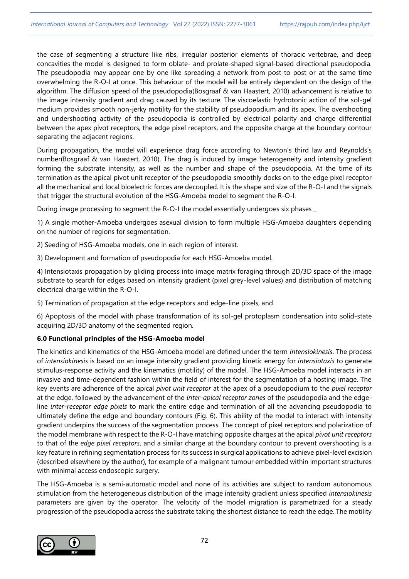the case of segmenting a structure like ribs, irregular posterior elements of thoracic vertebrae, and deep concavities the model is designed to form oblate- and prolate-shaped signal-based directional pseudopodia. The pseudopodia may appear one by one like spreading a network from post to post or at the same time overwhelming the R-O-I at once. This behaviour of the model will be entirely dependent on the design of the algorithm. The diffusion speed of the pseudopodia(Bosgraaf & van Haastert, 2010) advancement is relative to the image intensity gradient and drag caused by its texture. The viscoelastic hydrotonic action of the sol-gel medium provides smooth non-jerky motility for the stability of pseudopodium and its apex. The overshooting and undershooting activity of the pseudopodia is controlled by electrical polarity and charge differential between the apex pivot receptors, the edge pixel receptors, and the opposite charge at the boundary contour separating the adjacent regions.

During propagation, the model will experience drag force according to Newton's third law and Reynolds's number(Bosgraaf & van Haastert, 2010). The drag is induced by image heterogeneity and intensity gradient forming the substrate intensity, as well as the number and shape of the pseudopodia. At the time of its termination as the apical pivot unit receptor of the pseudopodia smoothly docks on to the edge pixel receptor all the mechanical and local bioelectric forces are decoupled. It is the shape and size of the R-O-I and the signals that trigger the structural evolution of the HSG-Amoeba model to segment the R-O-I.

During image processing to segment the R-O-I the model essentially undergoes six phases \_

1) A single mother-Amoeba undergoes asexual division to form multiple HSG-Amoeba daughters depending on the number of regions for segmentation.

2) Seeding of HSG-Amoeba models, one in each region of interest.

3) Development and formation of pseudopodia for each HSG-Amoeba model.

4) Intensiotaxis propagation by gliding process into image matrix foraging through 2D/3D space of the image substrate to search for edges based on intensity gradient (pixel grey-level values) and distribution of matching electrical charge within the R-O-I.

5) Termination of propagation at the edge receptors and edge-line pixels, and

6) Apoptosis of the model with phase transformation of its sol-gel protoplasm condensation into solid-state acquiring 2D/3D anatomy of the segmented region.

## **6.0 Functional principles of the HSG-Amoeba model**

The kinetics and kinematics of the HSG-Amoeba model are defined under the term *intensiokinesis*. The process of *intensiokinesis* is based on an image intensity gradient providing kinetic energy for *intensiotaxis* to generate stimulus-response activity and the kinematics (motility) of the model. The HSG-Amoeba model interacts in an invasive and time-dependent fashion within the field of interest for the segmentation of a hosting image. The key events are adherence of the apical *pivot unit receptor* at the apex of a pseudopodium to the *pixel receptor* at the edge, followed by the advancement of the *inter-apical receptor zones* of the pseudopodia and the edgeline *inter-receptor edge pixels* to mark the entire edge and termination of all the advancing pseudopodia to ultimately define the edge and boundary contours (Fig. 6). This ability of the model to interact with intensity gradient underpins the success of the segmentation process. The concept of pixel receptors and polarization of the model membrane with respect to the R-O-I have matching opposite charges at the apical *pivot unit receptors* to that of the *edge pixel receptors*, and a similar charge at the boundary contour to prevent overshooting is a key feature in refining segmentation process for its success in surgical applications to achieve pixel-level excision (described elsewhere by the author), for example of a malignant tumour embedded within important structures with minimal access endoscopic surgery.

The HSG-Amoeba is a semi-automatic model and none of its activities are subject to random autonomous stimulation from the heterogeneous distribution of the image intensity gradient unless specified *intensiokinesis* parameters are given by the operator. The velocity of the model migration is parametrized for a steady progression of the pseudopodia across the substrate taking the shortest distance to reach the edge. The motility

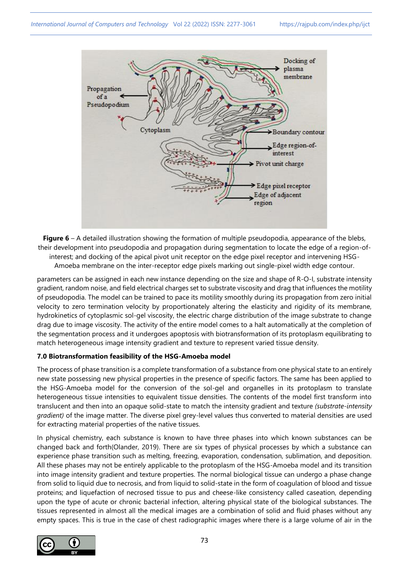

**Figure 6** – A detailed illustration showing the formation of multiple pseudopodia, appearance of the blebs, their development into pseudopodia and propagation during segmentation to locate the edge of a region-ofinterest; and docking of the apical pivot unit receptor on the edge pixel receptor and intervening HSG-Amoeba membrane on the inter-receptor edge pixels marking out single-pixel width edge contour.

parameters can be assigned in each new instance depending on the size and shape of R-O-I, substrate intensity gradient, random noise, and field electrical charges set to substrate viscosity and drag that influences the motility of pseudopodia. The model can be trained to pace its motility smoothly during its propagation from zero initial velocity to zero termination velocity by proportionately altering the elasticity and rigidity of its membrane, hydrokinetics of cytoplasmic sol-gel viscosity, the electric charge distribution of the image substrate to change drag due to image viscosity. The activity of the entire model comes to a halt automatically at the completion of the segmentation process and it undergoes apoptosis with biotransformation of its protoplasm equilibrating to match heterogeneous image intensity gradient and texture to represent varied tissue density.

## **7.0 Biotransformation feasibility of the HSG-Amoeba model**

The process of phase transition is a complete transformation of a substance from one physical state to an entirely new state possessing new physical properties in the presence of specific factors. The same has been applied to the HSG-Amoeba model for the conversion of the sol-gel and organelles in its protoplasm to translate heterogeneous tissue intensities to equivalent tissue densities. The contents of the model first transform into translucent and then into an opaque solid-state to match the intensity gradient and texture *(substrate-intensity gradient)* of the image matter. The diverse pixel grey-level values thus converted to material densities are used for extracting material properties of the native tissues.

In physical chemistry, each substance is known to have three phases into which known substances can be changed back and forth(Olander, 2019). There are six types of physical processes by which a substance can experience phase transition such as melting, freezing, evaporation, condensation, sublimation, and deposition. All these phases may not be entirely applicable to the protoplasm of the HSG-Amoeba model and its transition into image intensity gradient and texture properties. The normal biological tissue can undergo a phase change from solid to liquid due to necrosis, and from liquid to solid-state in the form of coagulation of blood and tissue proteins; and liquefaction of necrosed tissue to pus and cheese-like consistency called caseation, depending upon the type of acute or chronic bacterial infection, altering physical state of the biological substances. The tissues represented in almost all the medical images are a combination of solid and fluid phases without any empty spaces. This is true in the case of chest radiographic images where there is a large volume of air in the

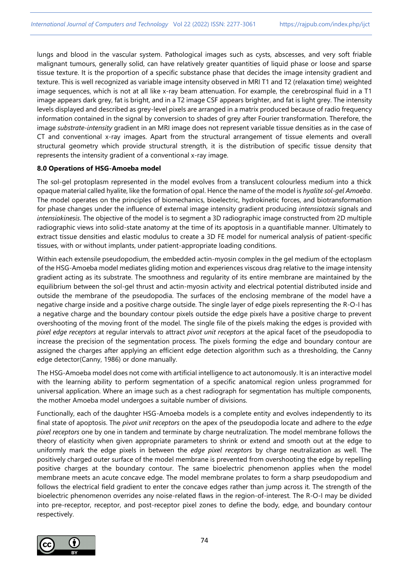lungs and blood in the vascular system. Pathological images such as cysts, abscesses, and very soft friable malignant tumours, generally solid, can have relatively greater quantities of liquid phase or loose and sparse tissue texture. It is the proportion of a specific substance phase that decides the image intensity gradient and texture. This is well recognized as variable image intensity observed in MRI T1 and T2 (relaxation time) weighted image sequences, which is not at all like x-ray beam attenuation. For example, the cerebrospinal fluid in a T1 image appears dark grey, fat is bright, and in a T2 image CSF appears brighter, and fat is light grey. The intensity levels displayed and described as grey-level pixels are arranged in a matrix produced because of radio frequency information contained in the signal by conversion to shades of grey after Fourier transformation. Therefore, the image *substrate-intensity* gradient in an MRI image does not represent variable tissue densities as in the case of CT and conventional x-ray images. Apart from the structural arrangement of tissue elements and overall structural geometry which provide structural strength, it is the distribution of specific tissue density that represents the intensity gradient of a conventional x-ray image.

## **8.0 Operations of HSG-Amoeba model**

The sol-gel protoplasm represented in the model evolves from a translucent colourless medium into a thick opaque material called hyalite, like the formation of opal. Hence the name of the model is *hyalite sol-gel Amoeba*. The model operates on the principles of biomechanics, bioelectric, hydrokinetic forces, and biotransformation for phase changes under the influence of external image intensity gradient producing *intensiotaxis* signals and *intensiokinesis*. The objective of the model is to segment a 3D radiographic image constructed from 2D multiple radiographic views into solid-state anatomy at the time of its apoptosis in a quantifiable manner. Ultimately to extract tissue densities and elastic modulus to create a 3D FE model for numerical analysis of patient-specific tissues, with or without implants, under patient-appropriate loading conditions.

Within each extensile pseudopodium, the embedded actin-myosin complex in the gel medium of the ectoplasm of the HSG-Amoeba model mediates gliding motion and experiences viscous drag relative to the image intensity gradient acting as its substrate. The smoothness and regularity of its entire membrane are maintained by the equilibrium between the sol-gel thrust and actin-myosin activity and electrical potential distributed inside and outside the membrane of the pseudopodia. The surfaces of the enclosing membrane of the model have a negative charge inside and a positive charge outside. The single layer of edge pixels representing the R-O-I has a negative charge and the boundary contour pixels outside the edge pixels have a positive charge to prevent overshooting of the moving front of the model. The single file of the pixels making the edges is provided with *pixel edge receptors* at regular intervals to attract *pivot unit receptors* at the apical facet of the pseudopodia to increase the precision of the segmentation process. The pixels forming the edge and boundary contour are assigned the charges after applying an efficient edge detection algorithm such as a thresholding, the Canny edge detector(Canny, 1986) or done manually.

The HSG-Amoeba model does not come with artificial intelligence to act autonomously. It is an interactive model with the learning ability to perform segmentation of a specific anatomical region unless programmed for universal application. Where an image such as a chest radiograph for segmentation has multiple components, the mother Amoeba model undergoes a suitable number of divisions.

Functionally, each of the daughter HSG-Amoeba models is a complete entity and evolves independently to its final state of apoptosis. The *pivot unit receptors* on the apex of the pseudopodia locate and adhere to the *edge pixel receptors* one by one in tandem and terminate by charge neutralization. The model membrane follows the theory of elasticity when given appropriate parameters to shrink or extend and smooth out at the edge to uniformly mark the edge pixels in between the *edge pixel receptors* by charge neutralization as well. The positively charged outer surface of the model membrane is prevented from overshooting the edge by repelling positive charges at the boundary contour. The same bioelectric phenomenon applies when the model membrane meets an acute concave edge. The model membrane prolates to form a sharp pseudopodium and follows the electrical field gradient to enter the concave edges rather than jump across it. The strength of the bioelectric phenomenon overrides any noise-related flaws in the region-of-interest. The R-O-I may be divided into pre-receptor, receptor, and post-receptor pixel zones to define the body, edge, and boundary contour respectively.

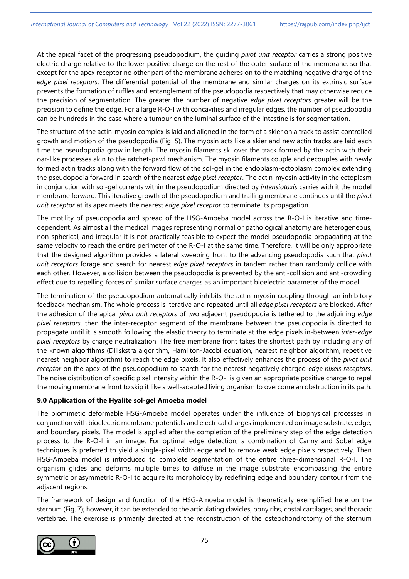At the apical facet of the progressing pseudopodium, the guiding *pivot unit receptor* carries a strong positive electric charge relative to the lower positive charge on the rest of the outer surface of the membrane, so that except for the apex receptor no other part of the membrane adheres on to the matching negative charge of the *edge pixel receptors*. The differential potential of the membrane and similar charges on its extrinsic surface prevents the formation of ruffles and entanglement of the pseudopodia respectively that may otherwise reduce the precision of segmentation. The greater the number of negative *edge pixel receptors* greater will be the precision to define the edge. For a large R-O-I with concavities and irregular edges, the number of pseudopodia can be hundreds in the case where a tumour on the luminal surface of the intestine is for segmentation.

The structure of the actin-myosin complex is laid and aligned in the form of a skier on a track to assist controlled growth and motion of the pseudopodia (Fig. 5). The myosin acts like a skier and new actin tracks are laid each time the pseudopodia grow in length. The myosin filaments ski over the track formed by the actin with their oar-like processes akin to the ratchet-pawl mechanism. The myosin filaments couple and decouples with newly formed actin tracks along with the forward flow of the sol-gel in the endoplasm-ectoplasm complex extending the pseudopodia forward in search of the nearest *edge pixel receptor*. The actin-myosin activity in the ectoplasm in conjunction with sol-gel currents within the pseudopodium directed by *intensiotaxis* carries with it the model membrane forward. This iterative growth of the pseudopodium and trailing membrane continues until the *pivot unit receptor* at its apex meets the nearest *edge pixel receptor* to terminate its propagation.

The motility of pseudopodia and spread of the HSG-Amoeba model across the R-O-I is iterative and timedependent. As almost all the medical images representing normal or pathological anatomy are heterogeneous, non-spherical, and irregular it is not practically feasible to expect the model pseudopodia propagating at the same velocity to reach the entire perimeter of the R-O-I at the same time. Therefore, it will be only appropriate that the designed algorithm provides a lateral sweeping front to the advancing pseudopodia such that *pivot unit receptors* forage and search for nearest *edge pixel receptors* in tandem rather than randomly collide with each other. However, a collision between the pseudopodia is prevented by the anti-collision and anti-crowding effect due to repelling forces of similar surface charges as an important bioelectric parameter of the model.

The termination of the pseudopodium automatically inhibits the actin-myosin coupling through an inhibitory feedback mechanism. The whole process is iterative and repeated until all *edge pixel receptors* are blocked. After the adhesion of the apical *pivot unit receptors* of two adjacent pseudopodia is tethered to the adjoining *edge pixel receptors*, then the inter-receptor segment of the membrane between the pseudopodia is directed to propagate until it is smooth following the elastic theory to terminate at the edge pixels in-between *inter-edge pixel receptors* by charge neutralization. The free membrane front takes the shortest path by including any of the known algorithms (Dijiskstra algorithm, Hamilton-Jacobi equation, nearest neighbor algorithm, repetitive nearest neighbor algorithm) to reach the edge pixels. It also effectively enhances the process of the *pivot unit receptor* on the apex of the pseudopodium to search for the nearest negatively charged *edge pixels receptors*. The noise distribution of specific pixel intensity within the R-O-I is given an appropriate positive charge to repel the moving membrane front to skip it like a well-adapted living organism to overcome an obstruction in its path.

## **9.0 Application of the Hyalite sol-gel Amoeba model**

The biomimetic deformable HSG-Amoeba model operates under the influence of biophysical processes in conjunction with bioelectric membrane potentials and electrical charges implemented on image substrate, edge, and boundary pixels. The model is applied after the completion of the preliminary step of the edge detection process to the R-O-I in an image. For optimal edge detection, a combination of Canny and Sobel edge techniques is preferred to yield a single-pixel width edge and to remove weak edge pixels respectively. Then HSG-Amoeba model is introduced to complete segmentation of the entire three-dimensional R-O-I. The organism glides and deforms multiple times to diffuse in the image substrate encompassing the entire symmetric or asymmetric R-O-I to acquire its morphology by redefining edge and boundary contour from the adjacent regions.

The framework of design and function of the HSG-Amoeba model is theoretically exemplified here on the sternum (Fig. 7); however, it can be extended to the articulating clavicles, bony ribs, costal cartilages, and thoracic vertebrae. The exercise is primarily directed at the reconstruction of the osteochondrotomy of the sternum

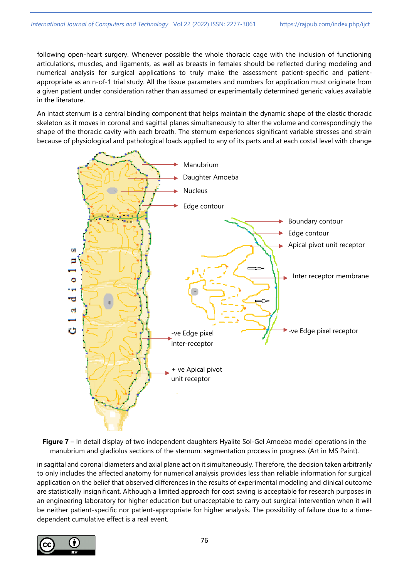following open-heart surgery. Whenever possible the whole thoracic cage with the inclusion of functioning articulations, muscles, and ligaments, as well as breasts in females should be reflected during modeling and numerical analysis for surgical applications to truly make the assessment patient-specific and patientappropriate as an n-of-1 trial study. All the tissue parameters and numbers for application must originate from a given patient under consideration rather than assumed or experimentally determined generic values available in the literature.

An intact sternum is a central binding component that helps maintain the dynamic shape of the elastic thoracic skeleton as it moves in coronal and sagittal planes simultaneously to alter the volume and correspondingly the shape of the thoracic cavity with each breath. The sternum experiences significant variable stresses and strain because of physiological and pathological loads applied to any of its parts and at each costal level with change



**Figure 7** – In detail display of two independent daughters Hyalite Sol-Gel Amoeba model operations in the manubrium and gladiolus sections of the sternum: segmentation process in progress (Art in MS Paint).

in sagittal and coronal diameters and axial plane act on it simultaneously. Therefore, the decision taken arbitrarily to only includes the affected anatomy for numerical analysis provides less than reliable information for surgical application on the belief that observed differences in the results of experimental modeling and clinical outcome are statistically insignificant. Although a limited approach for cost saving is acceptable for research purposes in an engineering laboratory for higher education but unacceptable to carry out surgical intervention when it will be neither patient-specific nor patient-appropriate for higher analysis. The possibility of failure due to a timedependent cumulative effect is a real event.

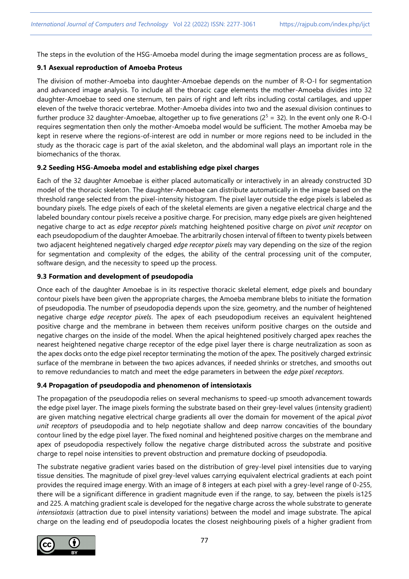The steps in the evolution of the HSG-Amoeba model during the image segmentation process are as follows\_

# **9.1 Asexual reproduction of Amoeba Proteus**

The division of mother-Amoeba into daughter-Amoebae depends on the number of R-O-I for segmentation and advanced image analysis. To include all the thoracic cage elements the mother-Amoeba divides into 32 daughter-Amoebae to seed one sternum, ten pairs of right and left ribs including costal cartilages, and upper eleven of the twelve thoracic vertebrae. Mother-Amoeba divides into two and the asexual division continues to further produce 32 daughter-Amoebae, altogether up to five generations ( $2^5$  = 32). In the event only one R-O-I requires segmentation then only the mother-Amoeba model would be sufficient. The mother Amoeba may be kept in reserve where the regions-of-interest are odd in number or more regions need to be included in the study as the thoracic cage is part of the axial skeleton, and the abdominal wall plays an important role in the biomechanics of the thorax.

# **9.2 Seeding HSG-Amoeba model and establishing edge pixel charges**

Each of the 32 daughter Amoebae is either placed automatically or interactively in an already constructed 3D model of the thoracic skeleton. The daughter-Amoebae can distribute automatically in the image based on the threshold range selected from the pixel-intensity histogram. The pixel layer outside the edge pixels is labeled as boundary pixels. The edge pixels of each of the skeletal elements are given a negative electrical charge and the labeled boundary contour pixels receive a positive charge. For precision, many edge pixels are given heightened negative charge to act as *edge receptor pixels* matching heightened positive charge on *pivot unit receptor* on each pseudopodium of the daughter Amoebae. The arbitrarily chosen interval of fifteen to twenty pixels between two adjacent heightened negatively charged *edge receptor pixels* may vary depending on the size of the region for segmentation and complexity of the edges, the ability of the central processing unit of the computer, software design, and the necessity to speed up the process.

# **9.3 Formation and development of pseudopodia**

Once each of the daughter Amoebae is in its respective thoracic skeletal element, edge pixels and boundary contour pixels have been given the appropriate charges, the Amoeba membrane blebs to initiate the formation of pseudopodia. The number of pseudopodia depends upon the size, geometry, and the number of heightened negative charge *edge receptor pixels*. The apex of each pseudopodium receives an equivalent heightened positive charge and the membrane in between them receives uniform positive charges on the outside and negative charges on the inside of the model. When the apical heightened positively charged apex reaches the nearest heightened negative charge receptor of the edge pixel layer there is charge neutralization as soon as the apex docks onto the edge pixel receptor terminating the motion of the apex. The positively charged extrinsic surface of the membrane in between the two apices advances, if needed shrinks or stretches, and smooths out to remove redundancies to match and meet the edge parameters in between the *edge pixel receptors*.

## **9.4 Propagation of pseudopodia and phenomenon of intensiotaxis**

The propagation of the pseudopodia relies on several mechanisms to speed-up smooth advancement towards the edge pixel layer. The image pixels forming the substrate based on their grey-level values (intensity gradient) are given matching negative electrical charge gradients all over the domain for movement of the apical *pivot unit receptors* of pseudopodia and to help negotiate shallow and deep narrow concavities of the boundary contour lined by the edge pixel layer. The fixed nominal and heightened positive charges on the membrane and apex of pseudopodia respectively follow the negative charge distributed across the substrate and positive charge to repel noise intensities to prevent obstruction and premature docking of pseudopodia.

The substrate negative gradient varies based on the distribution of grey-level pixel intensities due to varying tissue densities. The magnitude of pixel grey-level values carrying equivalent electrical gradients at each point provides the required image energy. With an image of 8 integers at each pixel with a grey-level range of 0-255, there will be a significant difference in gradient magnitude even if the range, to say, between the pixels is125 and 225. A matching gradient scale is developed for the negative charge across the whole substrate to generate *intensiotaxis* (attraction due to pixel intensity variations) between the model and image substrate. The apical charge on the leading end of pseudopodia locates the closest neighbouring pixels of a higher gradient from

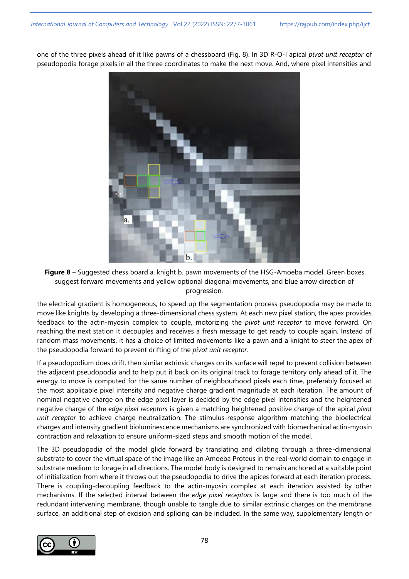one of the three pixels ahead of it like pawns of a chessboard (Fig. 8). In 3D R-O-I apical *pivot unit receptor* of pseudopodia forage pixels in all the three coordinates to make the next move. And, where pixel intensities and



**Figure 8** – Suggested chess board a. knight b. pawn movements of the HSG-Amoeba model. Green boxes suggest forward movements and yellow optional diagonal movements, and blue arrow direction of progression.

the electrical gradient is homogeneous, to speed up the segmentation process pseudopodia may be made to move like knights by developing a three-dimensional chess system. At each new pixel station, the apex provides feedback to the actin-myosin complex to couple, motorizing the *pivot unit receptor* to move forward. On reaching the next station it decouples and receives a fresh message to get ready to couple again. Instead of random mass movements, it has a choice of limited movements like a pawn and a knight to steer the apex of the pseudopodia forward to prevent drifting of the *pivot unit receptor*.

If a pseudopodium does drift, then similar extrinsic charges on its surface will repel to prevent collision between the adjacent pseudopodia and to help put it back on its original track to forage territory only ahead of it. The energy to move is computed for the same number of neighbourhood pixels each time, preferably focused at the most applicable pixel intensity and negative charge gradient magnitude at each iteration. The amount of nominal negative charge on the edge pixel layer is decided by the edge pixel intensities and the heightened negative charge of the *edge pixel receptors* is given a matching heightened positive charge of the apical *pivot unit receptor* to achieve charge neutralization. The stimulus-response algorithm matching the bioelectrical charges and intensity gradient bioluminescence mechanisms are synchronized with biomechanical actin-myosin contraction and relaxation to ensure uniform-sized steps and smooth motion of the model.

The 3D pseudopodia of the model glide forward by translating and dilating through a three-dimensional substrate to cover the virtual space of the image like an Amoeba Proteus in the real-world domain to engage in substrate medium to forage in all directions. The model body is designed to remain anchored at a suitable point of initialization from where it throws out the pseudopodia to drive the apices forward at each iteration process. There is coupling-decoupling feedback to the actin-myosin complex at each iteration assisted by other mechanisms. If the selected interval between the *edge pixel receptors* is large and there is too much of the redundant intervening membrane, though unable to tangle due to similar extrinsic charges on the membrane surface, an additional step of excision and splicing can be included. In the same way, supplementary length or

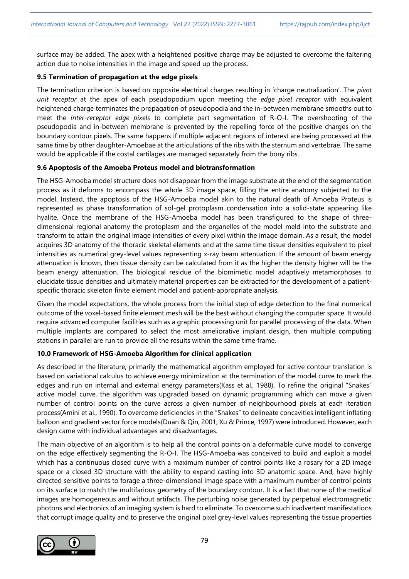surface may be added. The apex with a heightened positive charge may be adjusted to overcome the faltering action due to noise intensities in the image and speed up the process.

## **9.5 Termination of propagation at the edge pixels**

The termination criterion is based on opposite electrical charges resulting in 'charge neutralization'. The *pivot unit receptor* at the apex of each pseudopodium upon meeting the *edge pixel receptor* with equivalent heightened charge terminates the propagation of pseudopodia and the in-between membrane smooths out to meet the *inter-receptor edge pixels* to complete part segmentation of R-O-I. The overshooting of the pseudopodia and in-between membrane is prevented by the repelling force of the positive charges on the boundary contour pixels. The same happens if multiple adjacent regions of interest are being processed at the same time by other daughter-Amoebae at the articulations of the ribs with the sternum and vertebrae. The same would be applicable if the costal cartilages are managed separately from the bony ribs.

## **9.6 Apoptosis of the Amoeba Proteus model and biotransformation**

The HSG-Amoeba model structure does not disappear from the image substrate at the end of the segmentation process as it deforms to encompass the whole 3D image space, filling the entire anatomy subjected to the model. Instead, the apoptosis of the HSG-Amoeba model akin to the natural death of Amoeba Proteus is represented as phase transformation of sol-gel protoplasm condensation into a solid-state appearing like hyalite. Once the membrane of the HSG-Amoeba model has been transfigured to the shape of threedimensional regional anatomy the protoplasm and the organelles of the model meld into the substrate and transform to attain the original image intensities of every pixel within the image domain. As a result, the model acquires 3D anatomy of the thoracic skeletal elements and at the same time tissue densities equivalent to pixel intensities as numerical grey-level values representing x-ray beam attenuation. If the amount of beam energy attenuation is known, then tissue density can be calculated from it as the higher the density higher will be the beam energy attenuation. The biological residue of the biomimetic model adaptively metamorphoses to elucidate tissue densities and ultimately material properties can be extracted for the development of a patientspecific thoracic skeleton finite element model and patient-appropriate analysis.

Given the model expectations, the whole process from the initial step of edge detection to the final numerical outcome of the voxel-based finite element mesh will be the best without changing the computer space. It would require advanced computer facilities such as a graphic processing unit for parallel processing of the data. When multiple implants are compared to select the most ameliorative implant design, then multiple computing stations in parallel are run to provide all the results within the same time frame.

## **10.0 Framework of HSG-Amoeba Algorithm for clinical application**

As described in the literature, primarily the mathematical algorithm employed for active contour translation is based on variational calculus to achieve energy minimization at the termination of the model curve to mark the edges and run on internal and external energy parameters(Kass et al., 1988). To refine the original "Snakes" active model curve, the algorithm was upgraded based on dynamic programming which can move a given number of control points on the curve across a given number of neighbourhood pixels at each iteration process(Amini et al., 1990). To overcome deficiencies in the "Snakes" to delineate concavities intelligent inflating balloon and gradient vector force models(Duan & Qin, 2001; Xu & Prince, 1997) were introduced. However, each design came with individual advantages and disadvantages.

The main objective of an algorithm is to help all the control points on a deformable curve model to converge on the edge effectively segmenting the R-O-I. The HSG-Amoeba was conceived to build and exploit a model which has a continuous closed curve with a maximum number of control points like a rosary for a 2D image space or a closed 3D structure with the ability to expand casting into 3D anatomic space. And, have highly directed sensitive points to forage a three-dimensional image space with a maximum number of control points on its surface to match the multifarious geometry of the boundary contour. It is a fact that none of the medical images are homogeneous and without artifacts. The perturbing noise generated by perpetual electromagnetic photons and electronics of an imaging system is hard to eliminate. To overcome such inadvertent manifestations that corrupt image quality and to preserve the original pixel grey-level values representing the tissue properties

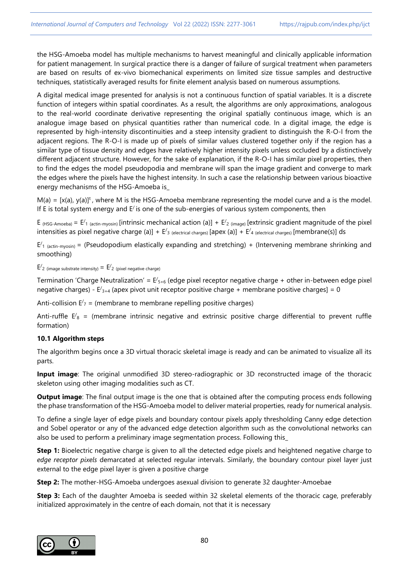the HSG-Amoeba model has multiple mechanisms to harvest meaningful and clinically applicable information for patient management. In surgical practice there is a danger of failure of surgical treatment when parameters are based on results of ex-vivo biomechanical experiments on limited size tissue samples and destructive techniques, statistically averaged results for finite element analysis based on numerous assumptions.

A digital medical image presented for analysis is not a continuous function of spatial variables. It is a discrete function of integers within spatial coordinates. As a result, the algorithms are only approximations, analogous to the real-world coordinate derivative representing the original spatially continuous image, which is an analogue image based on physical quantities rather than numerical code. In a digital image, the edge is represented by high-intensity discontinuities and a steep intensity gradient to distinguish the R-O-I from the adjacent regions. The R-O-I is made up of pixels of similar values clustered together only if the region has a similar type of tissue density and edges have relatively higher intensity pixels unless occluded by a distinctively different adjacent structure. However, for the sake of explanation, if the R-O-I has similar pixel properties, then to find the edges the model pseudopodia and membrane will span the image gradient and converge to mark the edges where the pixels have the highest intensity. In such a case the relationship between various bioactive energy mechanisms of the HSG-Amoeba is\_

 $M(a) = [x(a), y(a)]^t$ , where M is the HSG-Amoeba membrane representing the model curve and a is the model. If E is total system energy and  $E$  is one of the sub-energies of various system components, then

E (HSG-Amoeba) =  $E'_{1}$  (actin-myosin) [intrinsic mechanical action (a)] +  $E'_{2}$  (image) [extrinsic gradient magnitude of the pixel intensities as pixel negative charge (a)] +  $E'$ <sub>3 (electrical charges)</sub> [apex (a)] +  $E'$ <sub>4 (electrical charges)</sub> [membrane(s)] ds

 $E'_{1}$  (actin-myosin) = (Pseudopodium elastically expanding and stretching) + (Intervening membrane shrinking and smoothing)

 $E'_{2}$  (image substrate intensity) =  $E'_{2}$  (pixel negative charge)

Termination 'Charge Neutralization' =  $E_{5+6}$  (edge pixel receptor negative charge + other in-between edge pixel negative charges) -  $E_{3+4}$  (apex pivot unit receptor positive charge + membrane positive charges] = 0

Anti-collision  $E_7$  = (membrane to membrane repelling positive charges)

Anti-ruffle  $E_8$  = (membrane intrinsic negative and extrinsic positive charge differential to prevent ruffle formation)

#### **10.1 Algorithm steps**

The algorithm begins once a 3D virtual thoracic skeletal image is ready and can be animated to visualize all its parts.

**Input image**: The original unmodified 3D stereo-radiographic or 3D reconstructed image of the thoracic skeleton using other imaging modalities such as CT.

**Output image**: The final output image is the one that is obtained after the computing process ends following the phase transformation of the HSG-Amoeba model to deliver material properties, ready for numerical analysis.

To define a single layer of edge pixels and boundary contour pixels apply thresholding Canny edge detection and Sobel operator or any of the advanced edge detection algorithm such as the convolutional networks can also be used to perform a preliminary image segmentation process. Following this\_

**Step 1:** Bioelectric negative charge is given to all the detected edge pixels and heightened negative charge to *edge receptor pixels* demarcated at selected regular intervals. Similarly, the boundary contour pixel layer just external to the edge pixel layer is given a positive charge

**Step 2:** The mother-HSG-Amoeba undergoes asexual division to generate 32 daughter-Amoebae

**Step 3:** Each of the daughter Amoeba is seeded within 32 skeletal elements of the thoracic cage, preferably initialized approximately in the centre of each domain, not that it is necessary

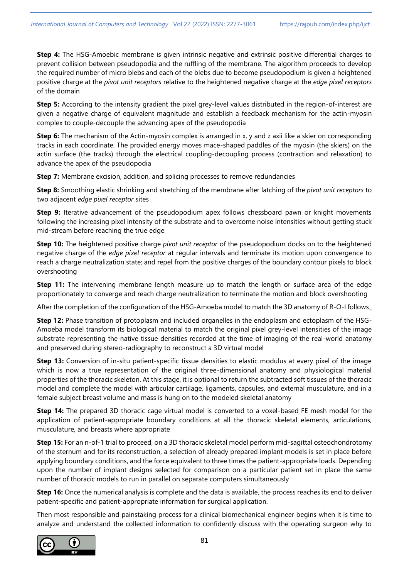**Step 4:** The HSG-Amoebic membrane is given intrinsic negative and extrinsic positive differential charges to prevent collision between pseudopodia and the ruffling of the membrane. The algorithm proceeds to develop the required number of micro blebs and each of the blebs due to become pseudopodium is given a heightened positive charge at the *pivot unit receptors* relative to the heightened negative charge at the *edge pixel receptors* of the domain

**Step 5:** According to the intensity gradient the pixel grey-level values distributed in the region-of-interest are given a negative charge of equivalent magnitude and establish a feedback mechanism for the actin-myosin complex to couple-decouple the advancing apex of the pseudopodia

**Step 6:** The mechanism of the Actin-myosin complex is arranged in x, y and z axii like a skier on corresponding tracks in each coordinate. The provided energy moves mace-shaped paddles of the myosin (the skiers) on the actin surface (the tracks) through the electrical coupling-decoupling process (contraction and relaxation) to advance the apex of the pseudopodia

**Step 7:** Membrane excision, addition, and splicing processes to remove redundancies

**Step 8:** Smoothing elastic shrinking and stretching of the membrane after latching of the *pivot unit receptors* to two adjacent *edge pixel receptor* sites

**Step 9:** Iterative advancement of the pseudopodium apex follows chessboard pawn or knight movements following the increasing pixel intensity of the substrate and to overcome noise intensities without getting stuck mid-stream before reaching the true edge

**Step 10:** The heightened positive charge *pivot unit receptor* of the pseudopodium docks on to the heightened negative charge of the *edge pixel receptor* at regular intervals and terminate its motion upon convergence to reach a charge neutralization state; and repel from the positive charges of the boundary contour pixels to block overshooting

**Step 11:** The intervening membrane length measure up to match the length or surface area of the edge proportionately to converge and reach charge neutralization to terminate the motion and block overshooting

After the completion of the configuration of the HSG-Amoeba model to match the 3D anatomy of R-O-I follows\_

**Step 12:** Phase transition of protoplasm and included organelles in the endoplasm and ectoplasm of the HSG-Amoeba model transform its biological material to match the original pixel grey-level intensities of the image substrate representing the native tissue densities recorded at the time of imaging of the real-world anatomy and preserved during stereo-radiography to reconstruct a 3D virtual model

**Step 13:** Conversion of in-situ patient-specific tissue densities to elastic modulus at every pixel of the image which is now a true representation of the original three-dimensional anatomy and physiological material properties of the thoracic skeleton. At this stage, it is optional to return the subtracted soft tissues of the thoracic model and complete the model with articular cartilage, ligaments, capsules, and external musculature, and in a female subject breast volume and mass is hung on to the modeled skeletal anatomy

**Step 14:** The prepared 3D thoracic cage virtual model is converted to a voxel-based FE mesh model for the application of patient-appropriate boundary conditions at all the thoracic skeletal elements, articulations, musculature, and breasts where appropriate

**Step 15:** For an n-of-1 trial to proceed, on a 3D thoracic skeletal model perform mid-sagittal osteochondrotomy of the sternum and for its reconstruction, a selection of already prepared implant models is set in place before applying boundary conditions, and the force equivalent to three times the patient-appropriate loads. Depending upon the number of implant designs selected for comparison on a particular patient set in place the same number of thoracic models to run in parallel on separate computers simultaneously

**Step 16:** Once the numerical analysis is complete and the data is available, the process reaches its end to deliver patient-specific and patient-appropriate information for surgical application.

Then most responsible and painstaking process for a clinical biomechanical engineer begins when it is time to analyze and understand the collected information to confidently discuss with the operating surgeon why to

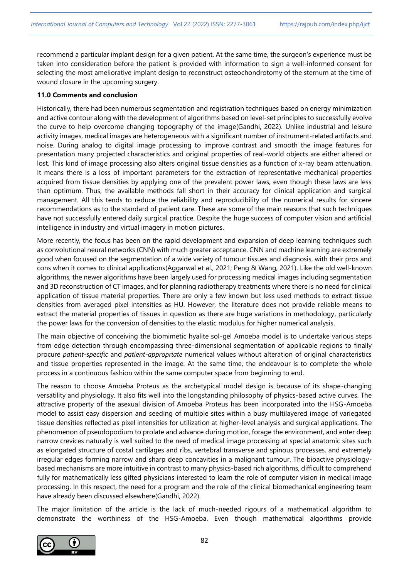recommend a particular implant design for a given patient. At the same time, the surgeon's experience must be taken into consideration before the patient is provided with information to sign a well-informed consent for selecting the most ameliorative implant design to reconstruct osteochondrotomy of the sternum at the time of wound closure in the upcoming surgery.

#### **11.0 Comments and conclusion**

Historically, there had been numerous segmentation and registration techniques based on energy minimization and active contour along with the development of algorithms based on level-set principles to successfully evolve the curve to help overcome changing topography of the image(Gandhi, 2022). Unlike industrial and leisure activity images, medical images are heterogeneous with a significant number of instrument-related artifacts and noise. During analog to digital image processing to improve contrast and smooth the image features for presentation many projected characteristics and original properties of real-world objects are either altered or lost. This kind of image processing also alters original tissue densities as a function of x-ray beam attenuation. It means there is a loss of important parameters for the extraction of representative mechanical properties acquired from tissue densities by applying one of the prevalent power laws, even though these laws are less than optimum. Thus, the available methods fall short in their accuracy for clinical application and surgical management. All this tends to reduce the reliability and reproducibility of the numerical results for sincere recommendations as to the standard of patient care. These are some of the main reasons that such techniques have not successfully entered daily surgical practice. Despite the huge success of computer vision and artificial intelligence in industry and virtual imagery in motion pictures.

More recently, the focus has been on the rapid development and expansion of deep learning techniques such as convolutional neural networks (CNN) with much greater acceptance. CNN and machine learning are extremely good when focused on the segmentation of a wide variety of tumour tissues and diagnosis, with their pros and cons when it comes to clinical applications(Aggarwal et al., 2021; Peng & Wang, 2021). Like the old well-known algorithms, the newer algorithms have been largely used for processing medical images including segmentation and 3D reconstruction of CT images, and for planning radiotherapy treatments where there is no need for clinical application of tissue material properties. There are only a few known but less used methods to extract tissue densities from averaged pixel intensities as HU. However, the literature does not provide reliable means to extract the material properties of tissues in question as there are huge variations in methodology, particularly the power laws for the conversion of densities to the elastic modulus for higher numerical analysis.

The main objective of conceiving the biomimetic hyalite sol-gel Amoeba model is to undertake various steps from edge detection through encompassing three-dimensional segmentation of applicable regions to finally procure *patient-specific* and *patient-appropriate* numerical values without alteration of original characteristics and tissue properties represented in the image. At the same time, the endeavour is to complete the whole process in a continuous fashion within the same computer space from beginning to end.

The reason to choose Amoeba Proteus as the archetypical model design is because of its shape-changing versatility and physiology. It also fits well into the longstanding philosophy of physics-based active curves. The attractive property of the asexual division of Amoeba Proteus has been incorporated into the HSG-Amoeba model to assist easy dispersion and seeding of multiple sites within a busy multilayered image of variegated tissue densities reflected as pixel intensities for utilization at higher-level analysis and surgical applications. The phenomenon of pseudopodium to prolate and advance during motion, forage the environment, and enter deep narrow crevices naturally is well suited to the need of medical image processing at special anatomic sites such as elongated structure of costal cartilages and ribs, vertebral transverse and spinous processes, and extremely irregular edges forming narrow and sharp deep concavities in a malignant tumour. The bioactive physiologybased mechanisms are more intuitive in contrast to many physics-based rich algorithms, difficult to comprehend fully for mathematically less gifted physicians interested to learn the role of computer vision in medical image processing. In this respect, the need for a program and the role of the clinical biomechanical engineering team have already been discussed elsewhere(Gandhi, 2022).

The major limitation of the article is the lack of much-needed rigours of a mathematical algorithm to demonstrate the worthiness of the HSG-Amoeba. Even though mathematical algorithms provide

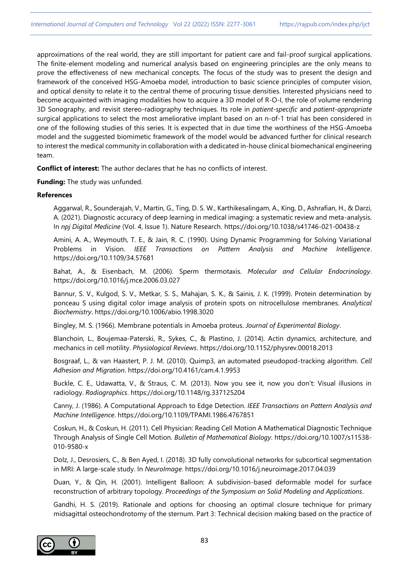approximations of the real world, they are still important for patient care and fail-proof surgical applications. The finite-element modeling and numerical analysis based on engineering principles are the only means to prove the effectiveness of new mechanical concepts. The focus of the study was to present the design and framework of the conceived HSG-Amoeba model, introduction to basic science principles of computer vision, and optical density to relate it to the central theme of procuring tissue densities. Interested physicians need to become acquainted with imaging modalities how to acquire a 3D model of R-O-I, the role of volume rendering 3D Sonography, and revisit stereo-radiography techniques. Its role in *patient-specific* and *patient-appropriate* surgical applications to select the most ameliorative implant based on an n-of-1 trial has been considered in one of the following studies of this series. It is expected that in due time the worthiness of the HSG-Amoeba model and the suggested biomimetic framework of the model would be advanced further for clinical research to interest the medical community in collaboration with a dedicated in-house clinical biomechanical engineering team.

**Conflict of interest:** The author declares that he has no conflicts of interest.

**Funding:** The study was unfunded.

## **References**

Aggarwal, R., Sounderajah, V., Martin, G., Ting, D. S. W., Karthikesalingam, A., King, D., Ashrafian, H., & Darzi, A. (2021). Diagnostic accuracy of deep learning in medical imaging: a systematic review and meta-analysis. In *npj Digital Medicine* (Vol. 4, Issue 1). Nature Research. https://doi.org/10.1038/s41746-021-00438-z

Amini, A. A., Weymouth, T. E., & Jain, R. C. (1990). Using Dynamic Programming for Solving Variational Problems in Vision. *IEEE Transactions on Pattern Analysis and Machine Intelligence*. https://doi.org/10.1109/34.57681

Bahat, A., & Eisenbach, M. (2006). Sperm thermotaxis. *Molecular and Cellular Endocrinology*. https://doi.org/10.1016/j.mce.2006.03.027

Bannur, S. V., Kulgod, S. V., Metkar, S. S., Mahajan, S. K., & Sainis, J. K. (1999). Protein determination by ponceau S using digital color image analysis of protein spots on nitrocellulose membranes. *Analytical Biochemistry*. https://doi.org/10.1006/abio.1998.3020

Bingley, M. S. (1966). Membrane potentials in Amoeba proteus. *Journal of Experimental Biology*.

Blanchoin, L., Boujemaa-Paterski, R., Sykes, C., & Plastino, J. (2014). Actin dynamics, architecture, and mechanics in cell motility. *Physiological Reviews*. https://doi.org/10.1152/physrev.00018.2013

Bosgraaf, L., & van Haastert, P. J. M. (2010). Quimp3, an automated pseudopod-tracking algorithm. *Cell Adhesion and Migration*. https://doi.org/10.4161/cam.4.1.9953

Buckle, C. E., Udawatta, V., & Straus, C. M. (2013). Now you see it, now you don't: Visual illusions in radiology. *Radiographics*. https://doi.org/10.1148/rg.337125204

Canny, J. (1986). A Computational Approach to Edge Detection. *IEEE Transactions on Pattern Analysis and Machine Intelligence*. https://doi.org/10.1109/TPAMI.1986.4767851

Coskun, H., & Coskun, H. (2011). Cell Physician: Reading Cell Motion A Mathematical Diagnostic Technique Through Analysis of Single Cell Motion. *Bulletin of Mathematical Biology*. https://doi.org/10.1007/s11538- 010-9580-x

Dolz, J., Desrosiers, C., & Ben Ayed, I. (2018). 3D fully convolutional networks for subcortical segmentation in MRI: A large-scale study. In *NeuroImage*. https://doi.org/10.1016/j.neuroimage.2017.04.039

Duan, Y., & Qin, H. (2001). Intelligent Balloon: A subdivision-based deformable model for surface reconstruction of arbitrary topology. *Proceedings of the Symposium on Solid Modeling and Applications*.

Gandhi, H. S. (2019). Rationale and options for choosing an optimal closure technique for primary midsagittal osteochondrotomy of the sternum. Part 3: Technical decision making based on the practice of

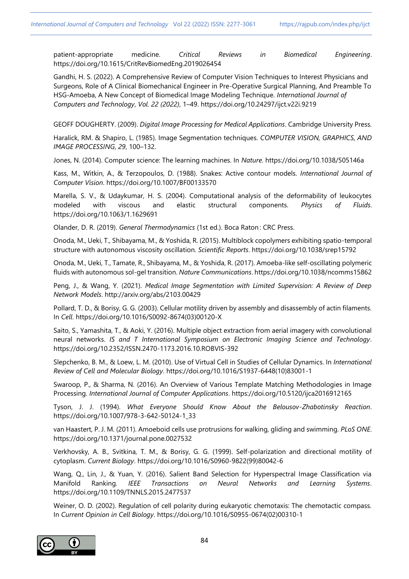patient-appropriate medicine. *Critical Reviews in Biomedical Engineering*. https://doi.org/10.1615/CritRevBiomedEng.2019026454

Gandhi, H. S. (2022). A Comprehensive Review of Computer Vision Techniques to Interest Physicians and Surgeons, Role of A Clinical Biomechanical Engineer in Pre-Operative Surgical Planning, And Preamble To HSG-Amoeba, A New Concept of Biomedical Image Modeling Technique. *International Journal of Computers and Technology*, *Vol. 22 (2022)*, 1–49. <https://doi.org/10.24297/ijct.v22i.9219>

GEOFF DOUGHERTY. (2009). *Digital Image Processing for Medical Applications*. Cambridge University Press.

Haralick, RM. & Shapiro, L. (1985). Image Segmentation techniques. *COMPUTER VISION, GRAPHICS, AND IMAGE PROCESSING*, *29*, 100–132.

Jones, N. (2014). Computer science: The learning machines. In *Nature*. https://doi.org/10.1038/505146a

Kass, M., Witkin, A., & Terzopoulos, D. (1988). Snakes: Active contour models. *International Journal of Computer Vision*. https://doi.org/10.1007/BF00133570

Marella, S. V., & Udaykumar, H. S. (2004). Computational analysis of the deformability of leukocytes modeled with viscous and elastic structural components. *Physics of Fluids*. https://doi.org/10.1063/1.1629691

Olander, D. R. (2019). *General Thermodynamics* (1st ed.). Boca Raton : CRC Press.

Onoda, M., Ueki, T., Shibayama, M., & Yoshida, R. (2015). Multiblock copolymers exhibiting spatio-temporal structure with autonomous viscosity oscillation. *Scientific Reports*. https://doi.org/10.1038/srep15792

Onoda, M., Ueki, T., Tamate, R., Shibayama, M., & Yoshida, R. (2017). Amoeba-like self-oscillating polymeric fluids with autonomous sol-gel transition. *Nature Communications*. https://doi.org/10.1038/ncomms15862

Peng, J., & Wang, Y. (2021). *Medical Image Segmentation with Limited Supervision: A Review of Deep Network Models*. http://arxiv.org/abs/2103.00429

Pollard, T. D., & Borisy, G. G. (2003). Cellular motility driven by assembly and disassembly of actin filaments. In *Cell*. https://doi.org/10.1016/S0092-8674(03)00120-X

Saito, S., Yamashita, T., & Aoki, Y. (2016). Multiple object extraction from aerial imagery with convolutional neural networks. *IS and T International Symposium on Electronic Imaging Science and Technology*. https://doi.org/10.2352/ISSN.2470-1173.2016.10.ROBVIS-392

Slepchenko, B. M., & Loew, L. M. (2010). Use of Virtual Cell in Studies of Cellular Dynamics. In *International Review of Cell and Molecular Biology*. https://doi.org/10.1016/S1937-6448(10)83001-1

Swaroop, P., & Sharma, N. (2016). An Overview of Various Template Matching Methodologies in Image Processing. *International Journal of Computer Applications*. https://doi.org/10.5120/ijca2016912165

Tyson, J. J. (1994). *What Everyone Should Know About the Belousov-Zhabotinsky Reaction*. https://doi.org/10.1007/978-3-642-50124-1\_33

van Haastert, P. J. M. (2011). Amoeboid cells use protrusions for walking, gliding and swimming. *PLoS ONE*. https://doi.org/10.1371/journal.pone.0027532

Verkhovsky, A. B., Svitkina, T. M., & Borisy, G. G. (1999). Self-polarization and directional motility of cytoplasm. *Current Biology*. https://doi.org/10.1016/S0960-9822(99)80042-6

Wang, Q., Lin, J., & Yuan, Y. (2016). Salient Band Selection for Hyperspectral Image Classification via Manifold Ranking. *IEEE Transactions on Neural Networks and Learning Systems*. https://doi.org/10.1109/TNNLS.2015.2477537

Weiner, O. D. (2002). Regulation of cell polarity during eukaryotic chemotaxis: The chemotactic compass. In *Current Opinion in Cell Biology*. https://doi.org/10.1016/S0955-0674(02)00310-1